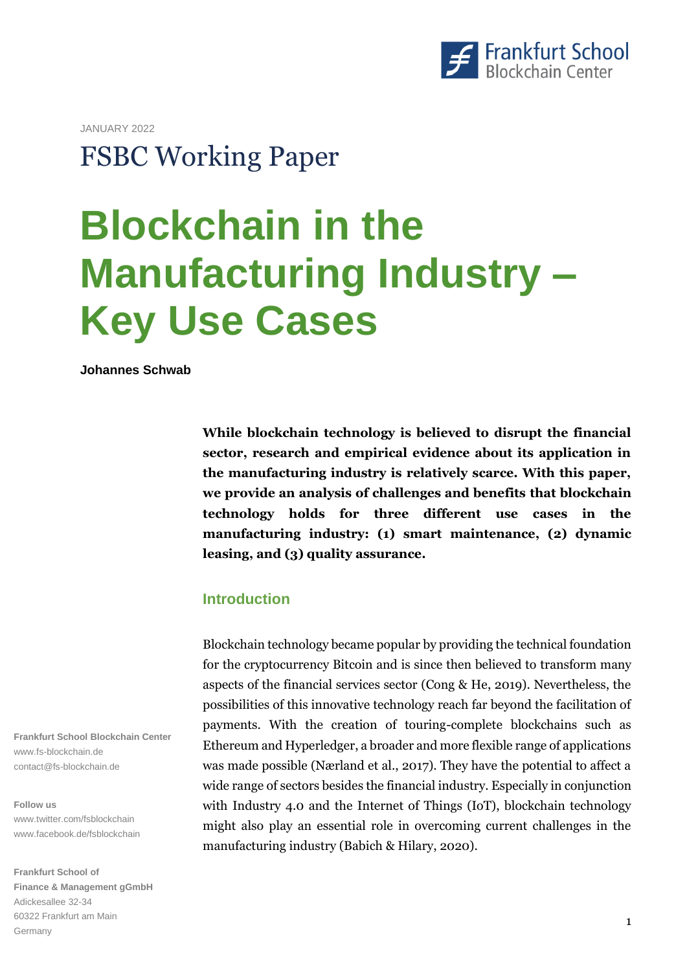

JANUARY 2022

## **FSBC Working Paper**

# **Bl Blockchain in the Manufacturing Industry – Key Use Cases**

**Johannes Schwab**

**While blockchain technology is believed to disrupt the financial sector, research and empirical evidence about its application in the manufacturing industry is relatively scarce. With this paper, we provide an analysis of challenges and benefits that blockchain technology holds for three different use cases in the manufacturing industry: (1) smart maintenance, (2) dynamic leasing, and (3) quality assurance.**

## **Introduction**

Blockchain technology became popular by providing the technical foundation for the cryptocurrency Bitcoin and is since then believed to transform many aspects of the financial services sector (Cong & He, 2019). Nevertheless, the possibilities of this innovative technology reach far beyond the facilitation of payments. With the creation of touring-complete blockchains such as Ethereum and Hyperledger, a broader and more flexible range of applications was made possible (Nærland et al., 2017). They have the potential to affect a wide range of sectors besides the financial industry. Especially in conjunction with Industry 4.0 and the Internet of Things (IoT), blockchain technology might also play an essential role in overcoming current challenges in the manufacturing industry (Babich & Hilary, 2020).

**Frankfurt School Blockchain Center** www.fs-blockchain.de contact@fs-blockchain.de

#### **Follow us**

www.twitter.com/fsblockchain www.facebook.de/fsblockchain

**Frankfurt School of Finance & Management gGmbH**  Adickesallee 32-34 60322 Frankfurt am Main Germany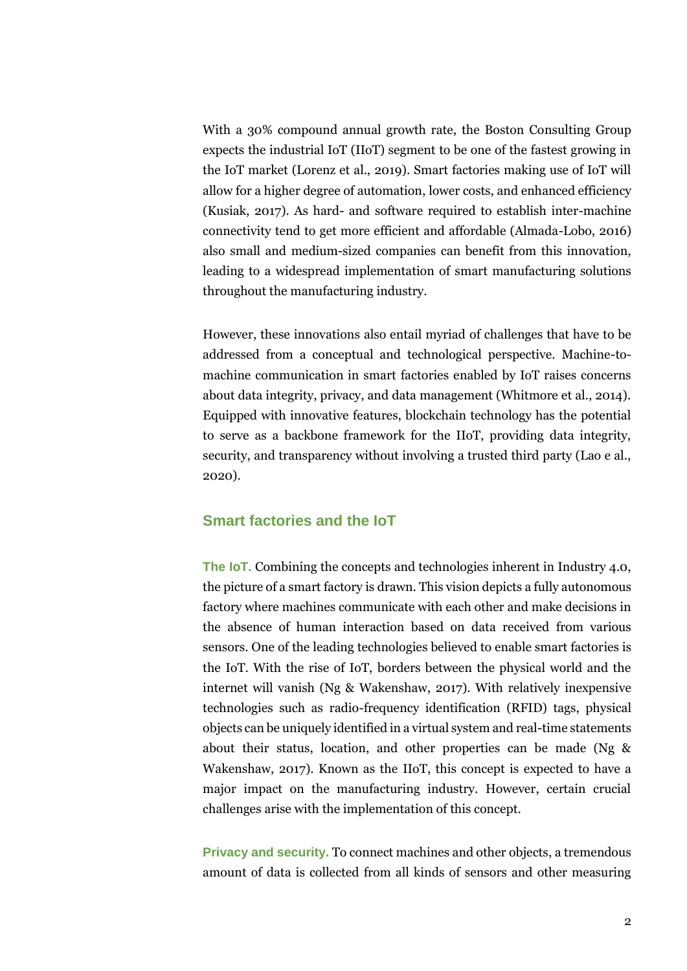With a 30% compound annual growth rate, the Boston Consulting Group expects the industrial IoT (IIoT) segment to be one of the fastest growing in the IoT market (Lorenz et al., 2019). Smart factories making use of IoT will allow for a higher degree of automation, lower costs, and enhanced efficiency (Kusiak, 2017). As hard- and software required to establish inter-machine connectivity tend to get more efficient and affordable (Almada-Lobo, 2016) also small and medium-sized companies can benefit from this innovation, leading to a widespread implementation of smart manufacturing solutions throughout the manufacturing industry.

However, these innovations also entail myriad of challenges that have to be addressed from a conceptual and technological perspective. Machine-tomachine communication in smart factories enabled by IoT raises concerns about data integrity, privacy, and data management (Whitmore et al., 2014). Equipped with innovative features, blockchain technology has the potential to serve as a backbone framework for the IIoT, providing data integrity, security, and transparency without involving a trusted third party (Lao e al., 2020).

## **Smart factories and the IoT**

**The IoT.** Combining the concepts and technologies inherent in Industry 4.0, the picture of a smart factory is drawn. This vision depicts a fully autonomous factory where machines communicate with each other and make decisions in the absence of human interaction based on data received from various sensors. One of the leading technologies believed to enable smart factories is the IoT. With the rise of IoT, borders between the physical world and the internet will vanish (Ng & Wakenshaw, 2017). With relatively inexpensive technologies such as radio-frequency identification (RFID) tags, physical objects can be uniquely identified in a virtual system and real-time statements about their status, location, and other properties can be made (Ng & Wakenshaw, 2017). Known as the IIoT, this concept is expected to have a major impact on the manufacturing industry. However, certain crucial challenges arise with the implementation of this concept.

**Privacy and security.** To connect machines and other objects, a tremendous amount of data is collected from all kinds of sensors and other measuring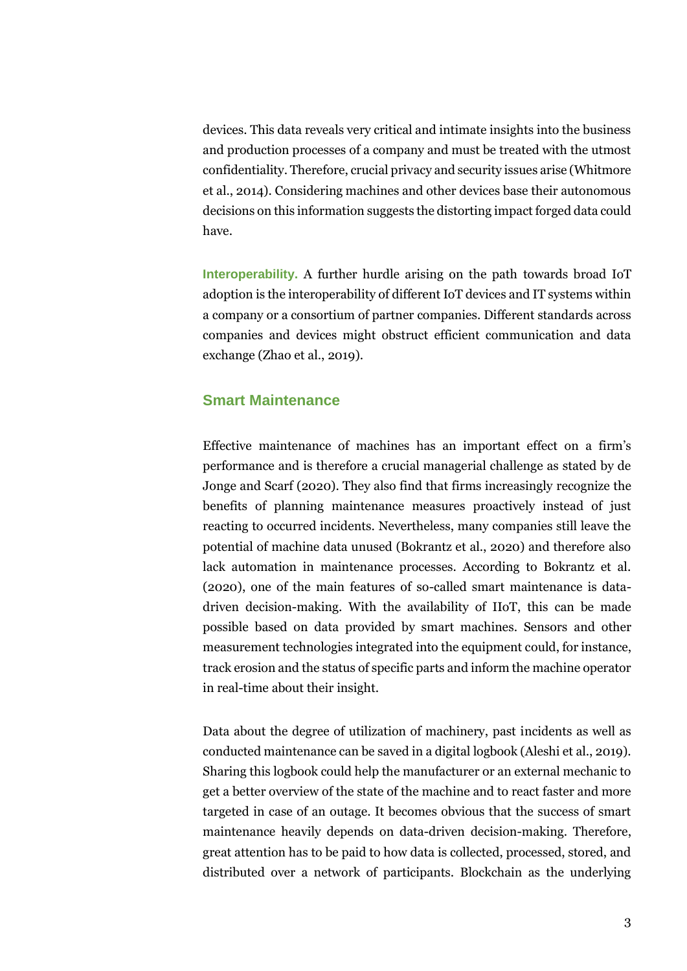devices. This data reveals very critical and intimate insights into the business and production processes of a company and must be treated with the utmost confidentiality. Therefore, crucial privacy and security issues arise (Whitmore et al., 2014). Considering machines and other devices base their autonomous decisions on this information suggests the distorting impact forged data could have.

**Interoperability.** A further hurdle arising on the path towards broad IoT adoption is the interoperability of different IoT devices and IT systems within a company or a consortium of partner companies. Different standards across companies and devices might obstruct efficient communication and data exchange (Zhao et al., 2019).

## **Smart Maintenance**

Effective maintenance of machines has an important effect on a firm's performance and is therefore a crucial managerial challenge as stated by de Jonge and Scarf (2020). They also find that firms increasingly recognize the benefits of planning maintenance measures proactively instead of just reacting to occurred incidents. Nevertheless, many companies still leave the potential of machine data unused (Bokrantz et al., 2020) and therefore also lack automation in maintenance processes. According to Bokrantz et al. (2020), one of the main features of so-called smart maintenance is datadriven decision-making. With the availability of IIoT, this can be made possible based on data provided by smart machines. Sensors and other measurement technologies integrated into the equipment could, for instance, track erosion and the status of specific parts and inform the machine operator in real-time about their insight.

Data about the degree of utilization of machinery, past incidents as well as conducted maintenance can be saved in a digital logbook (Aleshi et al., 2019). Sharing this logbook could help the manufacturer or an external mechanic to get a better overview of the state of the machine and to react faster and more targeted in case of an outage. It becomes obvious that the success of smart maintenance heavily depends on data-driven decision-making. Therefore, great attention has to be paid to how data is collected, processed, stored, and distributed over a network of participants. Blockchain as the underlying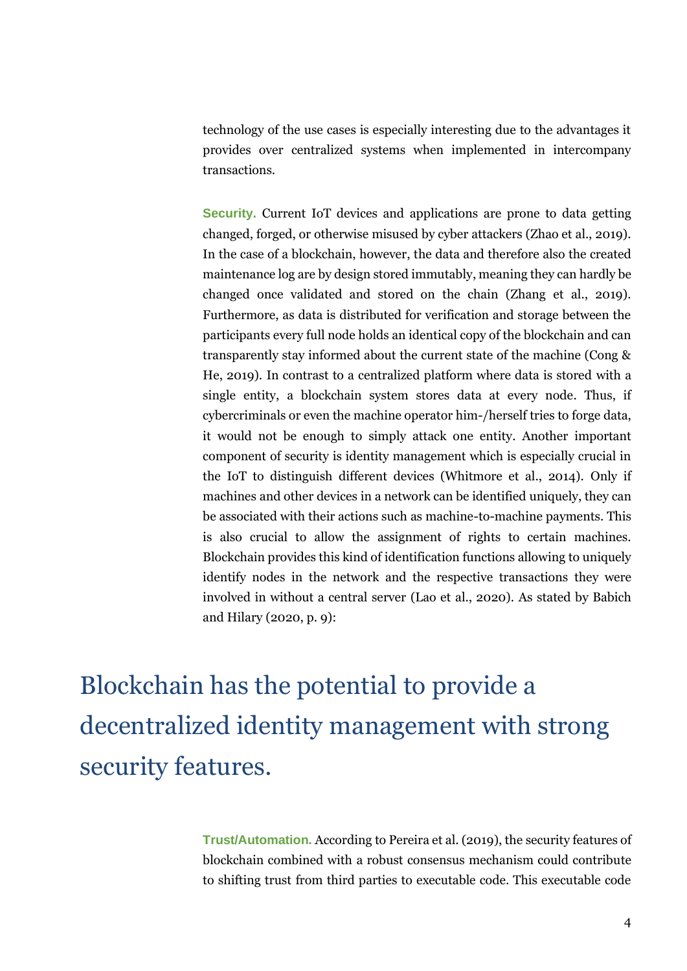technology of the use cases is especially interesting due to the advantages it provides over centralized systems when implemented in intercompany transactions.

**Security.** Current IoT devices and applications are prone to data getting changed, forged, or otherwise misused by cyber attackers (Zhao et al., 2019). In the case of a blockchain, however, the data and therefore also the created maintenance log are by design stored immutably, meaning they can hardly be changed once validated and stored on the chain (Zhang et al., 2019). Furthermore, as data is distributed for verification and storage between the participants every full node holds an identical copy of the blockchain and can transparently stay informed about the current state of the machine (Cong & He, 2019). In contrast to a centralized platform where data is stored with a single entity, a blockchain system stores data at every node. Thus, if cybercriminals or even the machine operator him-/herself tries to forge data, it would not be enough to simply attack one entity. Another important component of security is identity management which is especially crucial in the IoT to distinguish different devices (Whitmore et al., 2014). Only if machines and other devices in a network can be identified uniquely, they can be associated with their actions such as machine-to-machine payments. This is also crucial to allow the assignment of rights to certain machines. Blockchain provides this kind of identification functions allowing to uniquely identify nodes in the network and the respective transactions they were involved in without a central server (Lao et al., 2020). As stated by Babich and Hilary (2020, p. 9):

Blockchain has the potential to provide a decentralized identity management with strong security features.

> **Trust/Automation.** According to Pereira et al. (2019), the security features of blockchain combined with a robust consensus mechanism could contribute to shifting trust from third parties to executable code. This executable code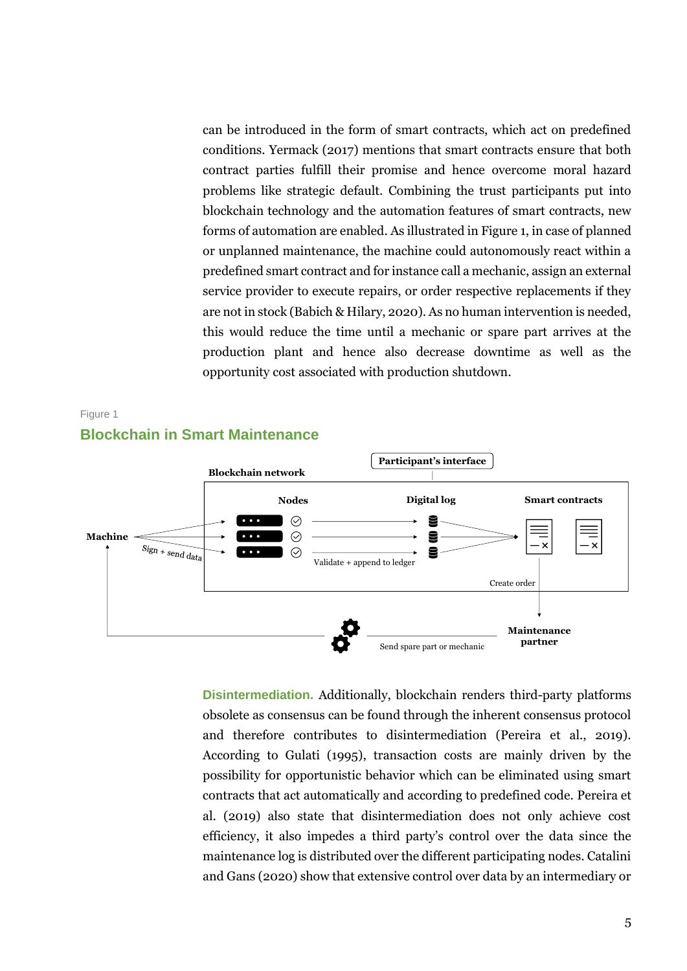can be introduced in the form of smart contracts, which act on predefined conditions. Yermack (2017) mentions that smart contracts ensure that both contract parties fulfill their promise and hence overcome moral hazard problems like strategic default. Combining the trust participants put into blockchain technology and the automation features of smart contracts, new forms of automation are enabled. As illustrated in Figure 1, in case of planned or unplanned maintenance, the machine could autonomously react within a predefined smart contract and for instance call a mechanic, assign an external service provider to execute repairs, or order respective replacements if they are not in stock (Babich & Hilary, 2020). As no human intervention is needed, this would reduce the time until a mechanic or spare part arrives at the production plant and hence also decrease downtime as well as the opportunity cost associated with production shutdown.



**Disintermediation.** Additionally, blockchain renders third-party platforms obsolete as consensus can be found through the inherent consensus protocol and therefore contributes to disintermediation (Pereira et al., 2019). According to Gulati (1995), transaction costs are mainly driven by the possibility for opportunistic behavior which can be eliminated using smart contracts that act automatically and according to predefined code. Pereira et al. (2019) also state that disintermediation does not only achieve cost efficiency, it also impedes a third party's control over the data since the maintenance log is distributed over the different participating nodes. Catalini and Gans (2020) show that extensive control over data by an intermediary or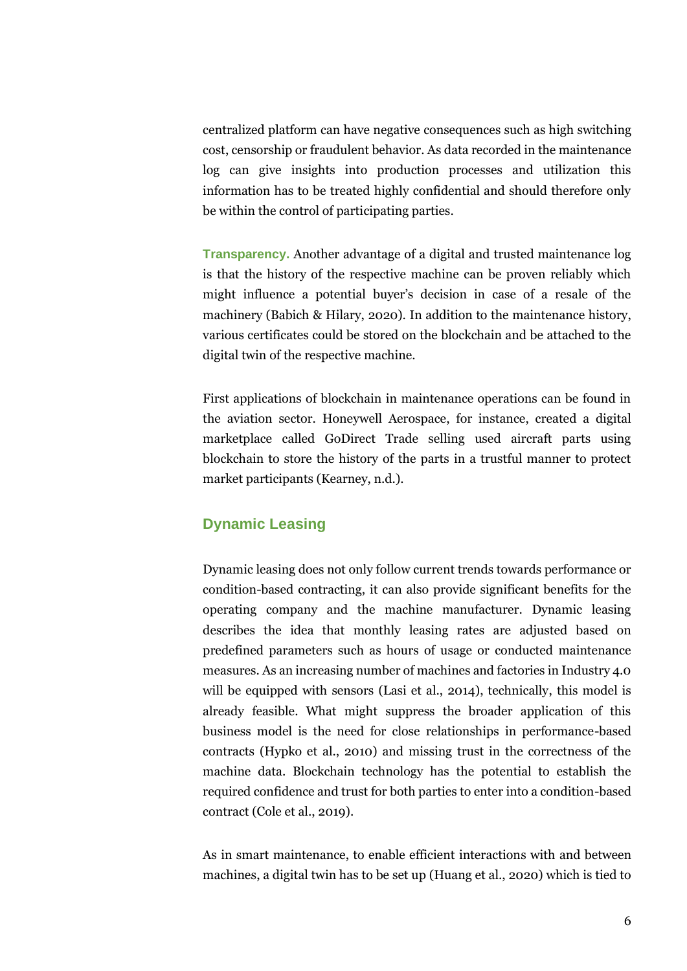centralized platform can have negative consequences such as high switching cost, censorship or fraudulent behavior. As data recorded in the maintenance log can give insights into production processes and utilization this information has to be treated highly confidential and should therefore only be within the control of participating parties.

**Transparency.** Another advantage of a digital and trusted maintenance log is that the history of the respective machine can be proven reliably which might influence a potential buyer's decision in case of a resale of the machinery (Babich & Hilary, 2020). In addition to the maintenance history, various certificates could be stored on the blockchain and be attached to the digital twin of the respective machine.

First applications of blockchain in maintenance operations can be found in the aviation sector. Honeywell Aerospace, for instance, created a digital marketplace called GoDirect Trade selling used aircraft parts using blockchain to store the history of the parts in a trustful manner to protect market participants (Kearney, n.d.).

## **Dynamic Leasing**

Dynamic leasing does not only follow current trends towards performance or condition-based contracting, it can also provide significant benefits for the operating company and the machine manufacturer. Dynamic leasing describes the idea that monthly leasing rates are adjusted based on predefined parameters such as hours of usage or conducted maintenance measures. As an increasing number of machines and factories in Industry 4.0 will be equipped with sensors (Lasi et al., 2014), technically, this model is already feasible. What might suppress the broader application of this business model is the need for close relationships in performance-based contracts (Hypko et al., 2010) and missing trust in the correctness of the machine data. Blockchain technology has the potential to establish the required confidence and trust for both parties to enter into a condition-based contract (Cole et al., 2019).

As in smart maintenance, to enable efficient interactions with and between machines, a digital twin has to be set up (Huang et al., 2020) which is tied to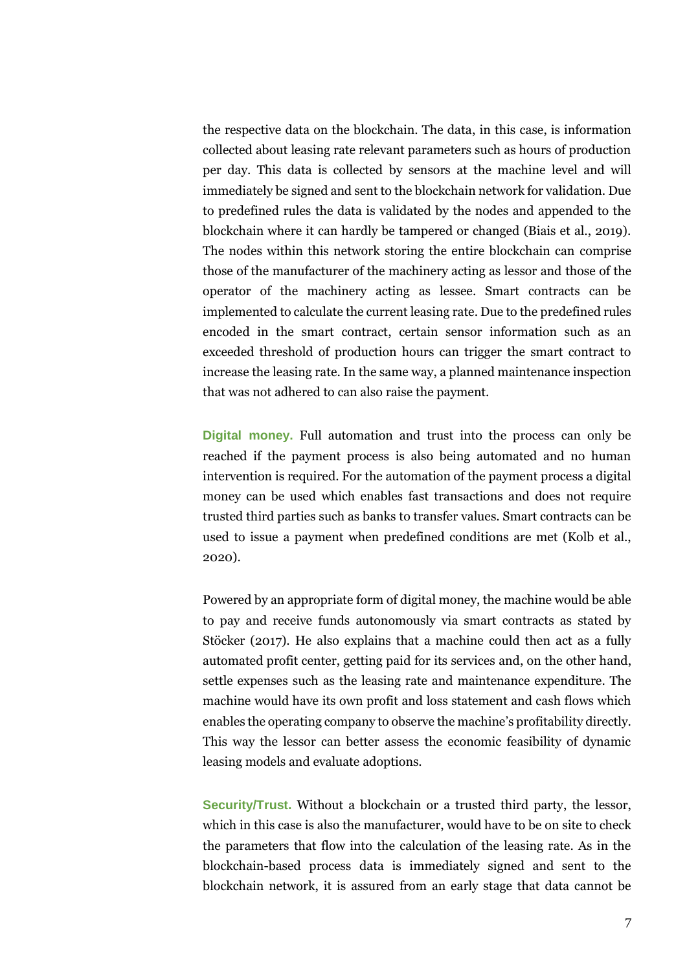the respective data on the blockchain. The data, in this case, is information collected about leasing rate relevant parameters such as hours of production per day. This data is collected by sensors at the machine level and will immediately be signed and sent to the blockchain network for validation. Due to predefined rules the data is validated by the nodes and appended to the blockchain where it can hardly be tampered or changed (Biais et al., 2019). The nodes within this network storing the entire blockchain can comprise those of the manufacturer of the machinery acting as lessor and those of the operator of the machinery acting as lessee. Smart contracts can be implemented to calculate the current leasing rate. Due to the predefined rules encoded in the smart contract, certain sensor information such as an exceeded threshold of production hours can trigger the smart contract to increase the leasing rate. In the same way, a planned maintenance inspection that was not adhered to can also raise the payment.

**Digital money.** Full automation and trust into the process can only be reached if the payment process is also being automated and no human intervention is required. For the automation of the payment process a digital money can be used which enables fast transactions and does not require trusted third parties such as banks to transfer values. Smart contracts can be used to issue a payment when predefined conditions are met (Kolb et al., 2020).

Powered by an appropriate form of digital money, the machine would be able to pay and receive funds autonomously via smart contracts as stated by Stöcker (2017). He also explains that a machine could then act as a fully automated profit center, getting paid for its services and, on the other hand, settle expenses such as the leasing rate and maintenance expenditure. The machine would have its own profit and loss statement and cash flows which enables the operating company to observe the machine's profitability directly. This way the lessor can better assess the economic feasibility of dynamic leasing models and evaluate adoptions.

**Security/Trust.** Without a blockchain or a trusted third party, the lessor, which in this case is also the manufacturer, would have to be on site to check the parameters that flow into the calculation of the leasing rate. As in the blockchain-based process data is immediately signed and sent to the blockchain network, it is assured from an early stage that data cannot be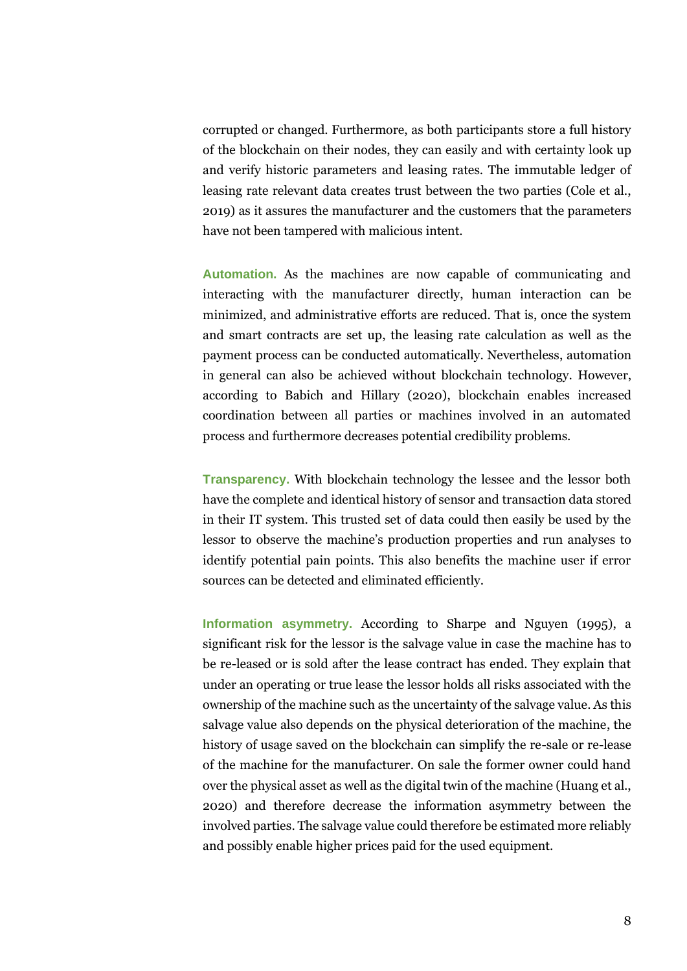corrupted or changed. Furthermore, as both participants store a full history of the blockchain on their nodes, they can easily and with certainty look up and verify historic parameters and leasing rates. The immutable ledger of leasing rate relevant data creates trust between the two parties (Cole et al., 2019) as it assures the manufacturer and the customers that the parameters have not been tampered with malicious intent.

**Automation.** As the machines are now capable of communicating and interacting with the manufacturer directly, human interaction can be minimized, and administrative efforts are reduced. That is, once the system and smart contracts are set up, the leasing rate calculation as well as the payment process can be conducted automatically. Nevertheless, automation in general can also be achieved without blockchain technology. However, according to Babich and Hillary (2020), blockchain enables increased coordination between all parties or machines involved in an automated process and furthermore decreases potential credibility problems.

**Transparency.** With blockchain technology the lessee and the lessor both have the complete and identical history of sensor and transaction data stored in their IT system. This trusted set of data could then easily be used by the lessor to observe the machine's production properties and run analyses to identify potential pain points. This also benefits the machine user if error sources can be detected and eliminated efficiently.

**Information asymmetry.** According to Sharpe and Nguyen (1995), a significant risk for the lessor is the salvage value in case the machine has to be re-leased or is sold after the lease contract has ended. They explain that under an operating or true lease the lessor holds all risks associated with the ownership of the machine such as the uncertainty of the salvage value. As this salvage value also depends on the physical deterioration of the machine, the history of usage saved on the blockchain can simplify the re-sale or re-lease of the machine for the manufacturer. On sale the former owner could hand over the physical asset as well as the digital twin of the machine (Huang et al., 2020) and therefore decrease the information asymmetry between the involved parties. The salvage value could therefore be estimated more reliably and possibly enable higher prices paid for the used equipment.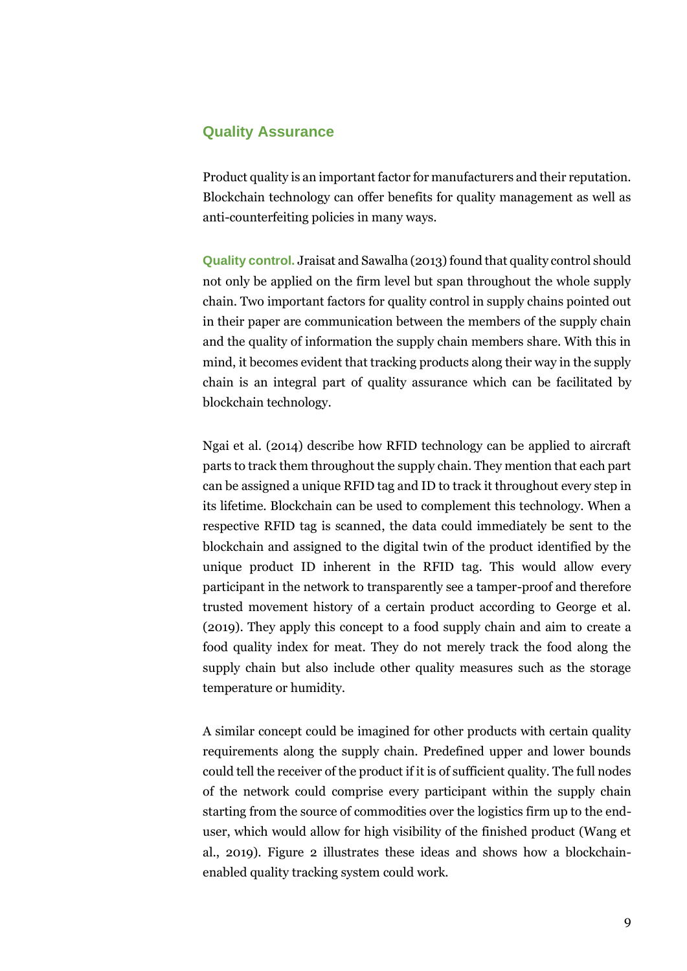## **Quality Assurance**

Product quality is an important factor for manufacturers and their reputation. Blockchain technology can offer benefits for quality management as well as anti-counterfeiting policies in many ways.

**Quality control.** Jraisat and Sawalha (2013) found that quality control should not only be applied on the firm level but span throughout the whole supply chain. Two important factors for quality control in supply chains pointed out in their paper are communication between the members of the supply chain and the quality of information the supply chain members share. With this in mind, it becomes evident that tracking products along their way in the supply chain is an integral part of quality assurance which can be facilitated by blockchain technology.

Ngai et al. (2014) describe how RFID technology can be applied to aircraft parts to track them throughout the supply chain. They mention that each part can be assigned a unique RFID tag and ID to track it throughout every step in its lifetime. Blockchain can be used to complement this technology. When a respective RFID tag is scanned, the data could immediately be sent to the blockchain and assigned to the digital twin of the product identified by the unique product ID inherent in the RFID tag. This would allow every participant in the network to transparently see a tamper-proof and therefore trusted movement history of a certain product according to George et al. (2019). They apply this concept to a food supply chain and aim to create a food quality index for meat. They do not merely track the food along the supply chain but also include other quality measures such as the storage temperature or humidity.

A similar concept could be imagined for other products with certain quality requirements along the supply chain. Predefined upper and lower bounds could tell the receiver of the product if it is of sufficient quality. The full nodes of the network could comprise every participant within the supply chain starting from the source of commodities over the logistics firm up to the enduser, which would allow for high visibility of the finished product (Wang et al., 2019). Figure 2 illustrates these ideas and shows how a blockchainenabled quality tracking system could work.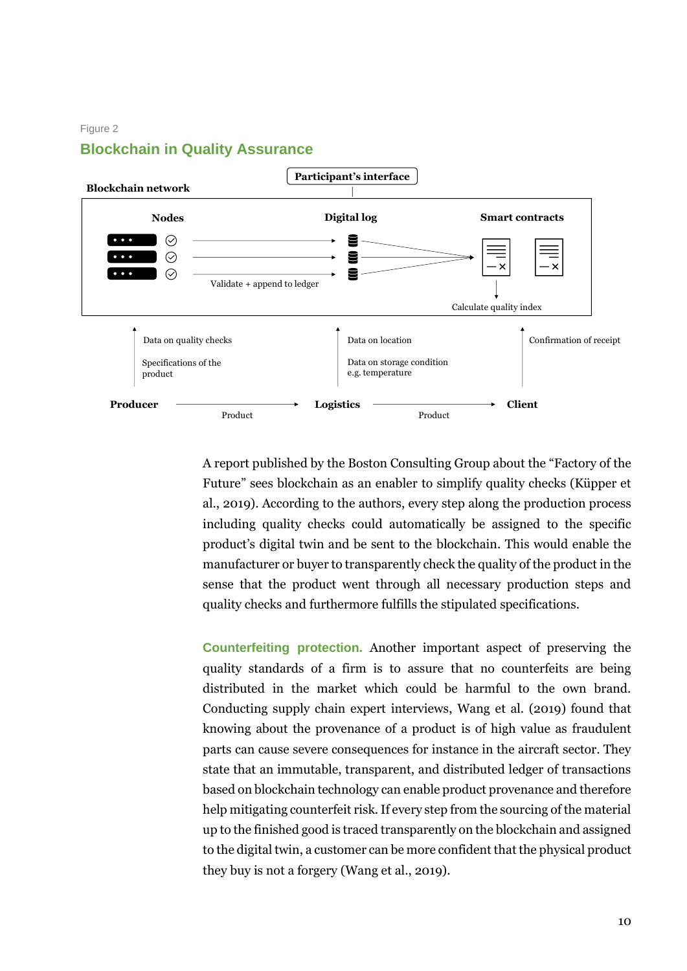#### Figure 2



## **Blockchain in Quality Assurance**

A report published by the Boston Consulting Group about the "Factory of the Future" sees blockchain as an enabler to simplify quality checks (Küpper et al., 2019). According to the authors, every step along the production process including quality checks could automatically be assigned to the specific product's digital twin and be sent to the blockchain. This would enable the manufacturer or buyer to transparently check the quality of the product in the sense that the product went through all necessary production steps and quality checks and furthermore fulfills the stipulated specifications.

**Counterfeiting protection.** Another important aspect of preserving the quality standards of a firm is to assure that no counterfeits are being distributed in the market which could be harmful to the own brand. Conducting supply chain expert interviews, Wang et al. (2019) found that knowing about the provenance of a product is of high value as fraudulent parts can cause severe consequences for instance in the aircraft sector. They state that an immutable, transparent, and distributed ledger of transactions based on blockchain technology can enable product provenance and therefore help mitigating counterfeit risk. If every step from the sourcing of the material up to the finished good is traced transparently on the blockchain and assigned to the digital twin, a customer can be more confident that the physical product they buy is not a forgery (Wang et al., 2019).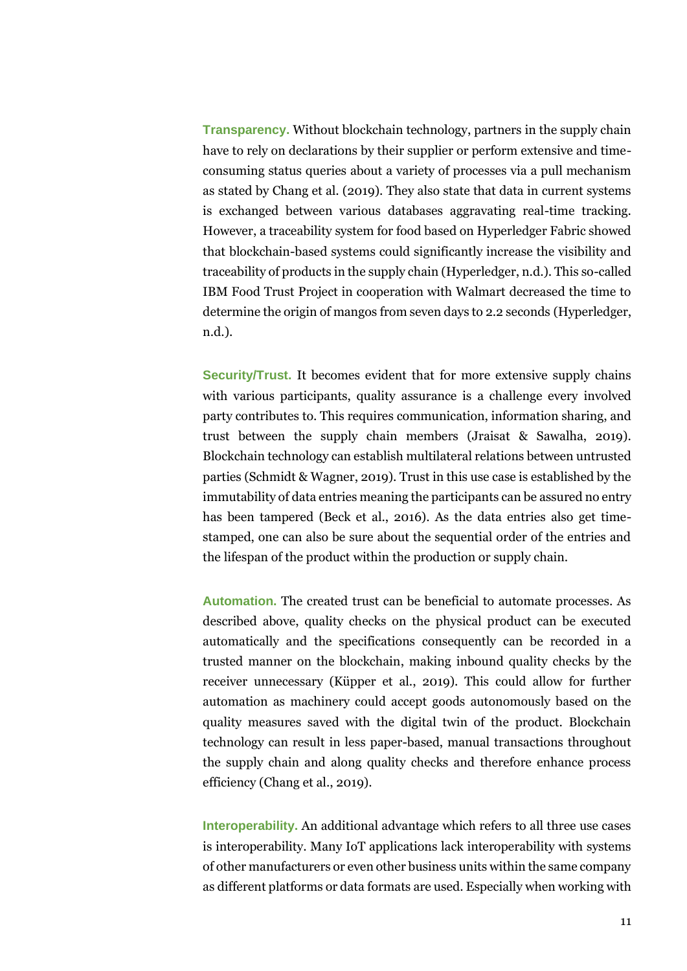**Transparency.** Without blockchain technology, partners in the supply chain have to rely on declarations by their supplier or perform extensive and timeconsuming status queries about a variety of processes via a pull mechanism as stated by Chang et al. (2019). They also state that data in current systems is exchanged between various databases aggravating real-time tracking. However, a traceability system for food based on Hyperledger Fabric showed that blockchain-based systems could significantly increase the visibility and traceability of products in the supply chain (Hyperledger, n.d.). This so-called IBM Food Trust Project in cooperation with Walmart decreased the time to determine the origin of mangos from seven days to 2.2 seconds (Hyperledger, n.d.).

**Security/Trust.** It becomes evident that for more extensive supply chains with various participants, quality assurance is a challenge every involved party contributes to. This requires communication, information sharing, and trust between the supply chain members (Jraisat & Sawalha, 2019). Blockchain technology can establish multilateral relations between untrusted parties (Schmidt & Wagner, 2019). Trust in this use case is established by the immutability of data entries meaning the participants can be assured no entry has been tampered (Beck et al., 2016). As the data entries also get timestamped, one can also be sure about the sequential order of the entries and the lifespan of the product within the production or supply chain.

**Automation.** The created trust can be beneficial to automate processes. As described above, quality checks on the physical product can be executed automatically and the specifications consequently can be recorded in a trusted manner on the blockchain, making inbound quality checks by the receiver unnecessary (Küpper et al., 2019). This could allow for further automation as machinery could accept goods autonomously based on the quality measures saved with the digital twin of the product. Blockchain technology can result in less paper-based, manual transactions throughout the supply chain and along quality checks and therefore enhance process efficiency (Chang et al., 2019).

**Interoperability.** An additional advantage which refers to all three use cases is interoperability. Many IoT applications lack interoperability with systems of other manufacturers or even other business units within the same company as different platforms or data formats are used. Especially when working with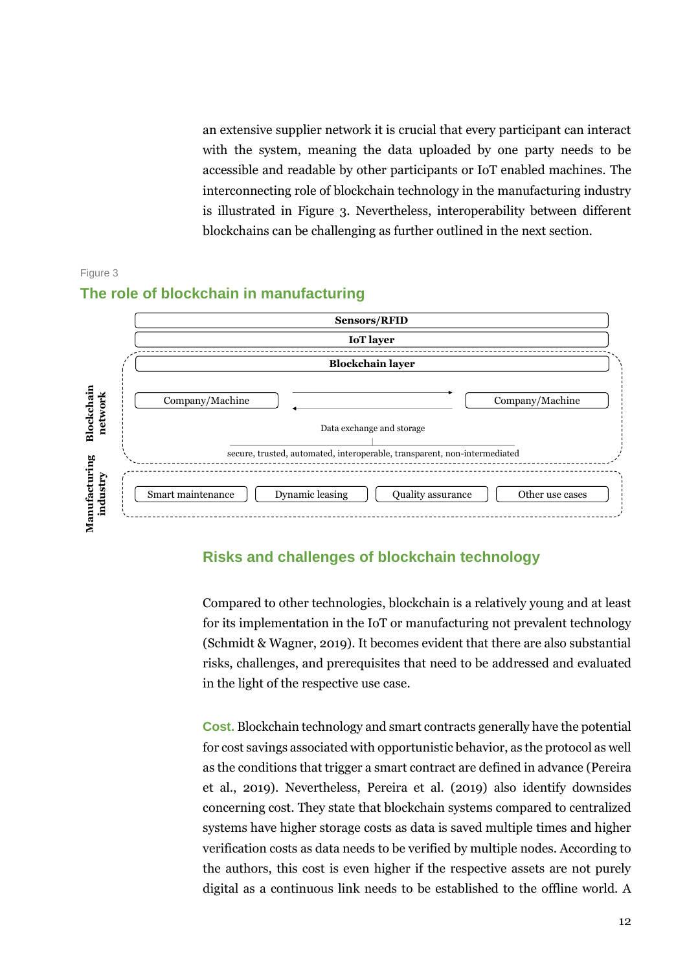an extensive supplier network it is crucial that every participant can interact with the system, meaning the data uploaded by one party needs to be accessible and readable by other participants or IoT enabled machines. The interconnecting role of blockchain technology in the manufacturing industry is illustrated in Figure 3. Nevertheless, interoperability between different blockchains can be challenging as further outlined in the next section.



## Figure 3 **The role of blockchain in manufacturing**

## **Risks and challenges of blockchain technology**

Compared to other technologies, blockchain is a relatively young and at least for its implementation in the IoT or manufacturing not prevalent technology (Schmidt & Wagner, 2019). It becomes evident that there are also substantial risks, challenges, and prerequisites that need to be addressed and evaluated in the light of the respective use case.

**Cost.** Blockchain technology and smart contracts generally have the potential for cost savings associated with opportunistic behavior, as the protocol as well as the conditions that trigger a smart contract are defined in advance (Pereira et al., 2019). Nevertheless, Pereira et al. (2019) also identify downsides concerning cost. They state that blockchain systems compared to centralized systems have higher storage costs as data is saved multiple times and higher verification costs as data needs to be verified by multiple nodes. According to the authors, this cost is even higher if the respective assets are not purely digital as a continuous link needs to be established to the offline world. A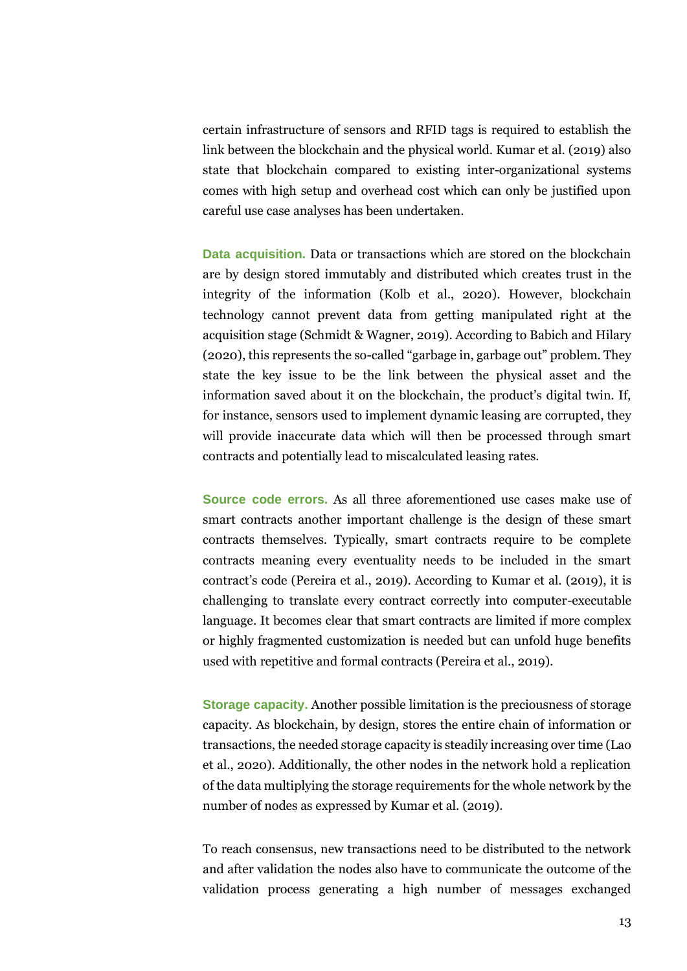certain infrastructure of sensors and RFID tags is required to establish the link between the blockchain and the physical world. Kumar et al. (2019) also state that blockchain compared to existing inter-organizational systems comes with high setup and overhead cost which can only be justified upon careful use case analyses has been undertaken.

**Data acquisition.** Data or transactions which are stored on the blockchain are by design stored immutably and distributed which creates trust in the integrity of the information (Kolb et al., 2020). However, blockchain technology cannot prevent data from getting manipulated right at the acquisition stage (Schmidt & Wagner, 2019). According to Babich and Hilary (2020), this represents the so-called "garbage in, garbage out" problem. They state the key issue to be the link between the physical asset and the information saved about it on the blockchain, the product's digital twin. If, for instance, sensors used to implement dynamic leasing are corrupted, they will provide inaccurate data which will then be processed through smart contracts and potentially lead to miscalculated leasing rates.

**Source code errors.** As all three aforementioned use cases make use of smart contracts another important challenge is the design of these smart contracts themselves. Typically, smart contracts require to be complete contracts meaning every eventuality needs to be included in the smart contract's code (Pereira et al., 2019). According to Kumar et al. (2019), it is challenging to translate every contract correctly into computer-executable language. It becomes clear that smart contracts are limited if more complex or highly fragmented customization is needed but can unfold huge benefits used with repetitive and formal contracts (Pereira et al., 2019).

**Storage capacity.** Another possible limitation is the preciousness of storage capacity. As blockchain, by design, stores the entire chain of information or transactions, the needed storage capacity is steadily increasing over time (Lao et al., 2020). Additionally, the other nodes in the network hold a replication of the data multiplying the storage requirements for the whole network by the number of nodes as expressed by Kumar et al. (2019).

To reach consensus, new transactions need to be distributed to the network and after validation the nodes also have to communicate the outcome of the validation process generating a high number of messages exchanged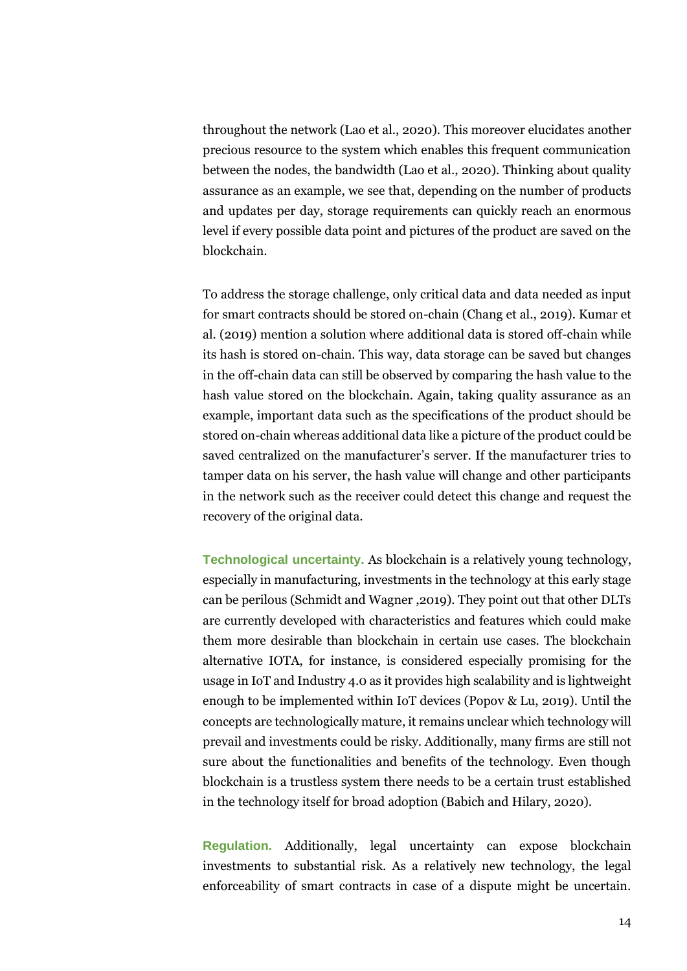throughout the network (Lao et al., 2020). This moreover elucidates another precious resource to the system which enables this frequent communication between the nodes, the bandwidth (Lao et al., 2020). Thinking about quality assurance as an example, we see that, depending on the number of products and updates per day, storage requirements can quickly reach an enormous level if every possible data point and pictures of the product are saved on the blockchain.

To address the storage challenge, only critical data and data needed as input for smart contracts should be stored on-chain (Chang et al., 2019). Kumar et al. (2019) mention a solution where additional data is stored off-chain while its hash is stored on-chain. This way, data storage can be saved but changes in the off-chain data can still be observed by comparing the hash value to the hash value stored on the blockchain. Again, taking quality assurance as an example, important data such as the specifications of the product should be stored on-chain whereas additional data like a picture of the product could be saved centralized on the manufacturer's server If the manufacturer tries to tamper data on his server, the hash value will change and other participants in the network such as the receiver could detect this change and request the recovery of the original data.

**Technological uncertainty.** As blockchain is a relatively young technology, especially in manufacturing, investments in the technology at this early stage can be perilous (Schmidt and Wagner ,2019). They point out that other DLTs are currently developed with characteristics and features which could make them more desirable than blockchain in certain use cases. The blockchain alternative IOTA, for instance, is considered especially promising for the usage in IoT and Industry 4.0 as it provides high scalability and is lightweight enough to be implemented within IoT devices (Popov & Lu, 2019). Until the concepts are technologically mature, it remains unclear which technology will prevail and investments could be risky. Additionally, many firms are still not sure about the functionalities and benefits of the technology. Even though blockchain is a trustless system there needs to be a certain trust established in the technology itself for broad adoption (Babich and Hilary, 2020).

**Regulation.** Additionally, legal uncertainty can expose blockchain investments to substantial risk. As a relatively new technology, the legal enforceability of smart contracts in case of a dispute might be uncertain.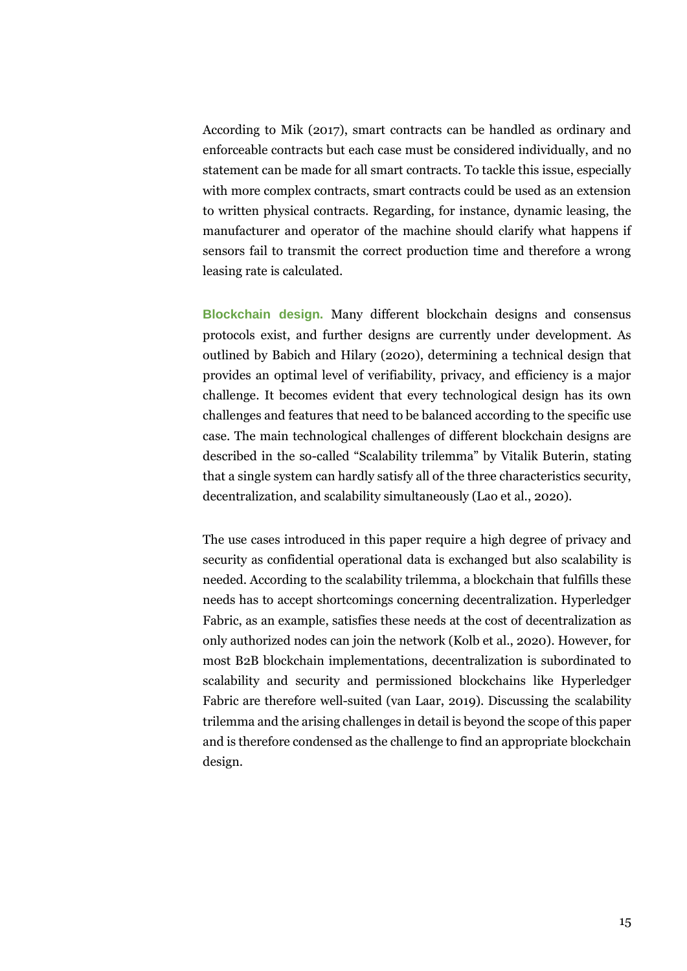According to Mik (2017), smart contracts can be handled as ordinary and enforceable contracts but each case must be considered individually, and no statement can be made for all smart contracts. To tackle this issue, especially with more complex contracts, smart contracts could be used as an extension to written physical contracts. Regarding, for instance, dynamic leasing, the manufacturer and operator of the machine should clarify what happens if sensors fail to transmit the correct production time and therefore a wrong leasing rate is calculated.

**Blockchain design.** Many different blockchain designs and consensus protocols exist, and further designs are currently under development. As outlined by Babich and Hilary (2020), determining a technical design that provides an optimal level of verifiability, privacy, and efficiency is a major challenge. It becomes evident that every technological design has its own challenges and features that need to be balanced according to the specific use case. The main technological challenges of different blockchain designs are described in the so-called "Scalability trilemma" by Vitalik Buterin, stating that a single system can hardly satisfy all of the three characteristics security, decentralization, and scalability simultaneously (Lao et al., 2020).

The use cases introduced in this paper require a high degree of privacy and security as confidential operational data is exchanged but also scalability is needed. According to the scalability trilemma, a blockchain that fulfills these needs has to accept shortcomings concerning decentralization. Hyperledger Fabric, as an example, satisfies these needs at the cost of decentralization as only authorized nodes can join the network (Kolb et al., 2020). However, for most B2B blockchain implementations, decentralization is subordinated to scalability and security and permissioned blockchains like Hyperledger Fabric are therefore well-suited (van Laar, 2019). Discussing the scalability trilemma and the arising challenges in detail is beyond the scope of this paper and is therefore condensed as the challenge to find an appropriate blockchain design.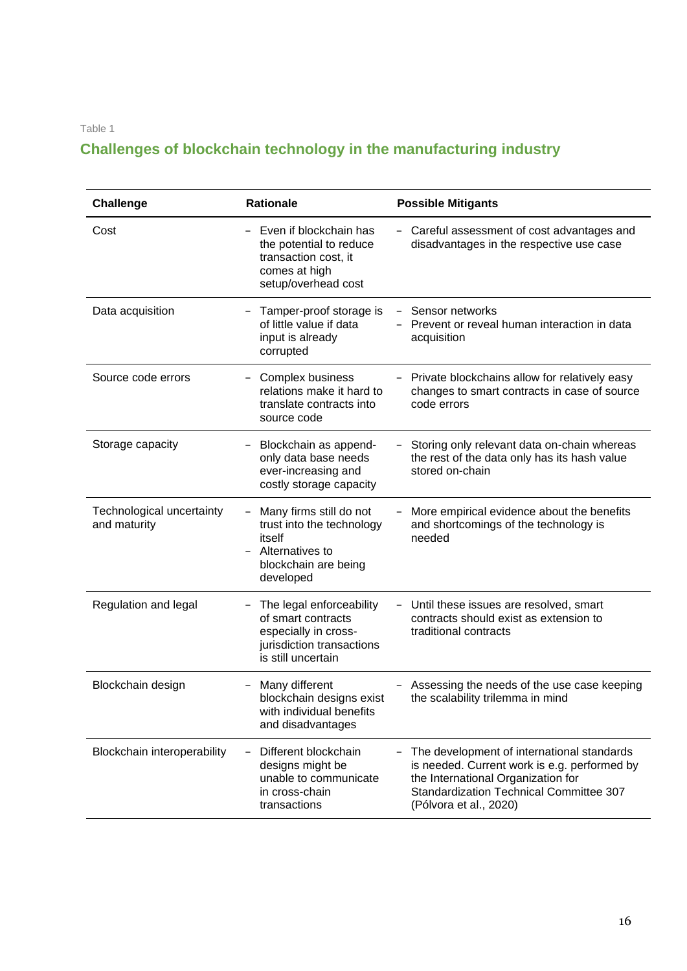Table 1

## **Challenges of blockchain technology in the manufacturing industry**

| <b>Challenge</b>                          | <b>Rationale</b>                                                                                                          | <b>Possible Mitigants</b>                                                                                                                                                                                    |
|-------------------------------------------|---------------------------------------------------------------------------------------------------------------------------|--------------------------------------------------------------------------------------------------------------------------------------------------------------------------------------------------------------|
| Cost                                      | Even if blockchain has<br>the potential to reduce<br>transaction cost, it<br>comes at high<br>setup/overhead cost         | Careful assessment of cost advantages and<br>disadvantages in the respective use case                                                                                                                        |
| Data acquisition                          | Tamper-proof storage is<br>of little value if data<br>input is already<br>corrupted                                       | - Sensor networks<br>Prevent or reveal human interaction in data<br>acquisition                                                                                                                              |
| Source code errors                        | <b>Complex business</b><br>relations make it hard to<br>translate contracts into<br>source code                           | Private blockchains allow for relatively easy<br>changes to smart contracts in case of source<br>code errors                                                                                                 |
| Storage capacity                          | Blockchain as append-<br>only data base needs<br>ever-increasing and<br>costly storage capacity                           | Storing only relevant data on-chain whereas<br>the rest of the data only has its hash value<br>stored on-chain                                                                                               |
| Technological uncertainty<br>and maturity | Many firms still do not<br>trust into the technology<br>itself<br>Alternatives to<br>blockchain are being<br>developed    | More empirical evidence about the benefits<br>and shortcomings of the technology is<br>needed                                                                                                                |
| Regulation and legal                      | The legal enforceability<br>of smart contracts<br>especially in cross-<br>jurisdiction transactions<br>is still uncertain | Until these issues are resolved, smart<br>contracts should exist as extension to<br>traditional contracts                                                                                                    |
| Blockchain design                         | Many different<br>blockchain designs exist<br>with individual benefits<br>and disadvantages                               | Assessing the needs of the use case keeping<br>the scalability trilemma in mind                                                                                                                              |
| Blockchain interoperability               | Different blockchain<br>designs might be<br>unable to communicate<br>in cross-chain<br>transactions                       | The development of international standards<br>is needed. Current work is e.g. performed by<br>the International Organization for<br><b>Standardization Technical Committee 307</b><br>(Pólvora et al., 2020) |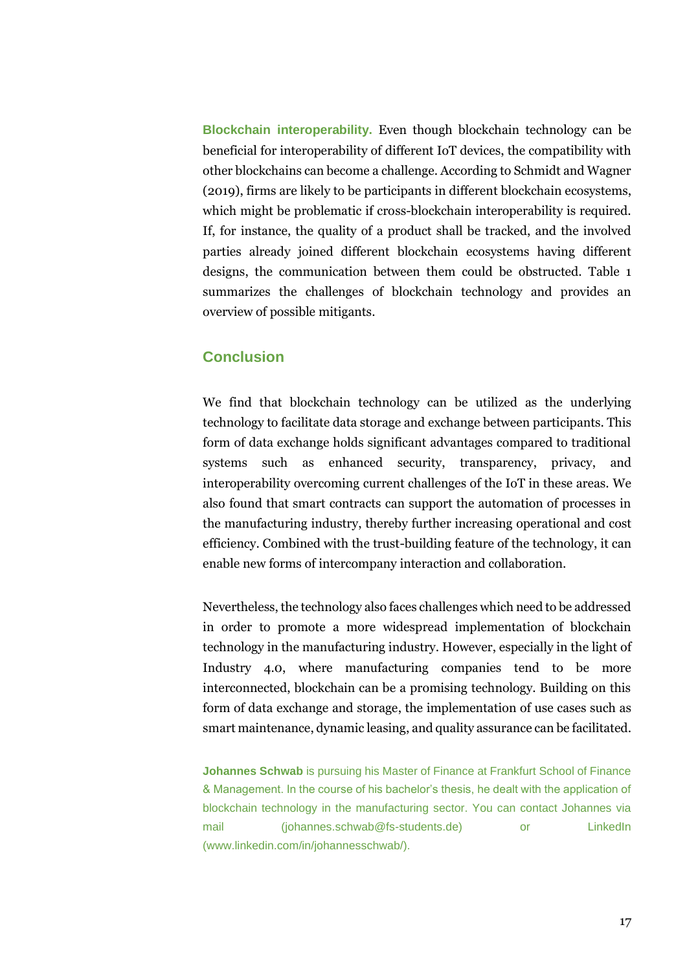**Blockchain interoperability.** Even though blockchain technology can be beneficial for interoperability of different IoT devices, the compatibility with other blockchains can become a challenge. According to Schmidt and Wagner (2019), firms are likely to be participants in different blockchain ecosystems, which might be problematic if cross-blockchain interoperability is required. If, for instance, the quality of a product shall be tracked, and the involved parties already joined different blockchain ecosystems having different designs, the communication between them could be obstructed. Table 1 summarizes the challenges of blockchain technology and provides an overview of possible mitigants.

## **Conclusion**

We find that blockchain technology can be utilized as the underlying technology to facilitate data storage and exchange between participants. This form of data exchange holds significant advantages compared to traditional systems such as enhanced security, transparency, privacy, and interoperability overcoming current challenges of the IoT in these areas. We also found that smart contracts can support the automation of processes in the manufacturing industry, thereby further increasing operational and cost efficiency. Combined with the trust-building feature of the technology, it can enable new forms of intercompany interaction and collaboration.

Nevertheless, the technology also faces challenges which need to be addressed in order to promote a more widespread implementation of blockchain technology in the manufacturing industry. However, especially in the light of Industry 4.0, where manufacturing companies tend to be more interconnected, blockchain can be a promising technology. Building on this form of data exchange and storage, the implementation of use cases such as smart maintenance, dynamic leasing, and quality assurance can be facilitated.

**Johannes Schwab** is pursuing his Master of Finance at Frankfurt School of Finance & Management. In the course of his bachelor's thesis, he dealt with the application of blockchain technology in the manufacturing sector. You can contact Johannes via mail (johannes.schwab@fs-students.de) or LinkedIn (www.linkedin.com/in/johannesschwab/).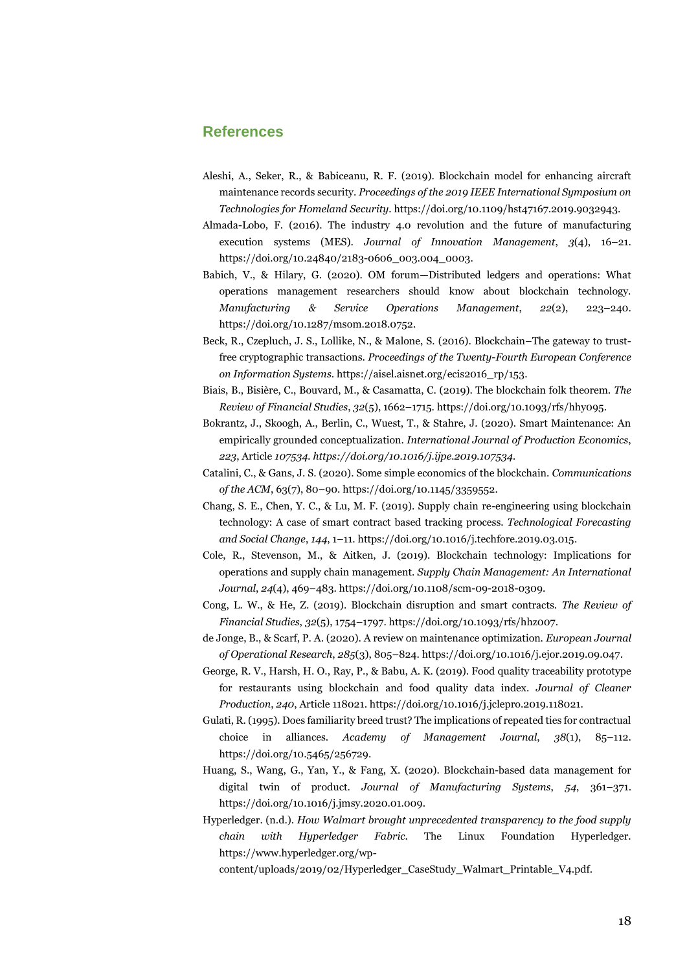### **References**

- Aleshi, A., Seker, R., & Babiceanu, R. F. (2019). Blockchain model for enhancing aircraft maintenance records security. *Proceedings of the 2019 IEEE International Symposium on Technologies for Homeland Security*. https://doi.org/10.1109/hst47167.2019.9032943.
- Almada-Lobo, F. (2016). The industry 4.0 revolution and the future of manufacturing execution systems (MES). *Journal of Innovation Management*, *3*(4), 16–21. https://doi.org/10.24840/2183-0606\_003.004\_0003.
- Babich, V., & Hilary, G. (2020). OM forum—Distributed ledgers and operations: What operations management researchers should know about blockchain technology. *Manufacturing & Service Operations Management*, *22*(2), 223–240. https://doi.org/10.1287/msom.2018.0752.
- Beck, R., Czepluch, J. S., Lollike, N., & Malone, S. (2016). Blockchain–The gateway to trustfree cryptographic transactions. *Proceedings of the Twenty-Fourth European Conference on Information Systems*. https://aisel.aisnet.org/ecis2016\_rp/153.
- Biais, B., Bisière, C., Bouvard, M., & Casamatta, C. (2019). The blockchain folk theorem. *The Review of Financial Studies*, *32*(5), 1662–1715. https://doi.org/10.1093/rfs/hhy095.
- Bokrantz, J., Skoogh, A., Berlin, C., Wuest, T., & Stahre, J. (2020). Smart Maintenance: An empirically grounded conceptualization. *International Journal of Production Economics*, *223*, Article *107534. https://doi.org/10.1016/j.ijpe.2019.107534.*
- Catalini, C., & Gans, J. S. (2020). Some simple economics of the blockchain. *Communications of the ACM*, 63(7), 80–90. https://doi.org/10.1145/3359552.
- Chang, S. E., Chen, Y. C., & Lu, M. F. (2019). Supply chain re-engineering using blockchain technology: A case of smart contract based tracking process. *Technological Forecasting and Social Change*, *144*, 1–11. https://doi.org/10.1016/j.techfore.2019.03.015.
- Cole, R., Stevenson, M., & Aitken, J. (2019). Blockchain technology: Implications for operations and supply chain management. *Supply Chain Management: An International Journal*, *24*(4), 469–483. https://doi.org/10.1108/scm-09-2018-0309.
- Cong, L. W., & He, Z. (2019). Blockchain disruption and smart contracts. *The Review of Financial Studies*, *32*(5), 1754–1797. https://doi.org/10.1093/rfs/hhz007.
- de Jonge, B., & Scarf, P. A. (2020). A review on maintenance optimization. *European Journal of Operational Research*, *285*(3), 805–824. https://doi.org/10.1016/j.ejor.2019.09.047.
- George, R. V., Harsh, H. O., Ray, P., & Babu, A. K. (2019). Food quality traceability prototype for restaurants using blockchain and food quality data index. *Journal of Cleaner Production*, *240*, Article 118021. https://doi.org/10.1016/j.jclepro.2019.118021.
- Gulati, R. (1995). Does familiarity breed trust? The implications of repeated ties for contractual choice in alliances. *Academy of Management Journal*, *38*(1), 85–112. https://doi.org/10.5465/256729.
- Huang, S., Wang, G., Yan, Y., & Fang, X. (2020). Blockchain-based data management for digital twin of product. *Journal of Manufacturing Systems*, *54*, 361–371. https://doi.org/10.1016/j.jmsy.2020.01.009.
- Hyperledger. (n.d.). *How Walmart brought unprecedented transparency to the food supply chain with Hyperledger Fabric*. The Linux Foundation Hyperledger. https://www.hyperledger.org/wp-

content/uploads/2019/02/Hyperledger\_CaseStudy\_Walmart\_Printable\_V4.pdf.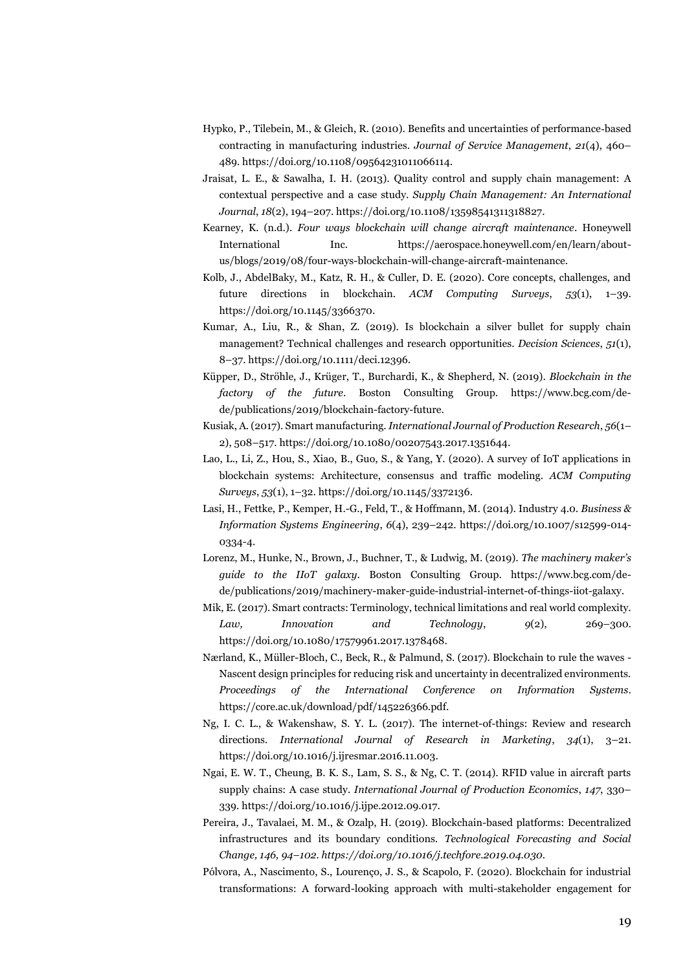- Hypko, P., Tilebein, M., & Gleich, R. (2010). Benefits and uncertainties of performance-based contracting in manufacturing industries. *Journal of Service Management*, *21*(4), 460– 489. https://doi.org/10.1108/09564231011066114.
- Jraisat, L. E., & Sawalha, I. H. (2013). Quality control and supply chain management: A contextual perspective and a case study. *Supply Chain Management: An International Journal*, *18*(2), 194–207. https://doi.org/10.1108/13598541311318827.
- Kearney, K. (n.d.). *Four ways blockchain will change aircraft maintenance*. Honeywell International Inc. https://aerospace.honeywell.com/en/learn/aboutus/blogs/2019/08/four-ways-blockchain-will-change-aircraft-maintenance.
- Kolb, J., AbdelBaky, M., Katz, R. H., & Culler, D. E. (2020). Core concepts, challenges, and future directions in blockchain. *ACM Computing Surveys*, *53*(1), 1–39. https://doi.org/10.1145/3366370.
- Kumar, A., Liu, R., & Shan, Z. (2019). Is blockchain a silver bullet for supply chain management? Technical challenges and research opportunities. *Decision Sciences*, *51*(1), 8–37. https://doi.org/10.1111/deci.12396.
- Küpper, D., Ströhle, J., Krüger, T., Burchardi, K., & Shepherd, N. (2019). *Blockchain in the factory of the future*. Boston Consulting Group. https://www.bcg.com/dede/publications/2019/blockchain-factory-future.
- Kusiak, A. (2017). Smart manufacturing. *International Journal of Production Research*, *56*(1– 2), 508–517. https://doi.org/10.1080/00207543.2017.1351644.
- Lao, L., Li, Z., Hou, S., Xiao, B., Guo, S., & Yang, Y. (2020). A survey of IoT applications in blockchain systems: Architecture, consensus and traffic modeling. *ACM Computing Surveys*, *53*(1), 1–32. https://doi.org/10.1145/3372136.
- Lasi, H., Fettke, P., Kemper, H.-G., Feld, T., & Hoffmann, M. (2014). Industry 4.0. *Business & Information Systems Engineering*, *6*(4), 239–242. https://doi.org/10.1007/s12599-014- 0334-4.
- Lorenz, M., Hunke, N., Brown, J., Buchner, T., & Ludwig, M. (2019). *The machinery maker's guide to the IIoT galaxy*. Boston Consulting Group. https://www.bcg.com/dede/publications/2019/machinery-maker-guide-industrial-internet-of-things-iiot-galaxy.
- Mik, E. (2017). Smart contracts: Terminology, technical limitations and real world complexity. *Law, Innovation and Technology*, *9*(2), 269–300. https://doi.org/10.1080/17579961.2017.1378468.
- Nærland, K., Müller-Bloch, C., Beck, R., & Palmund, S. (2017). Blockchain to rule the waves Nascent design principles for reducing risk and uncertainty in decentralized environments. *Proceedings of the International Conference on Information Systems*. https://core.ac.uk/download/pdf/145226366.pdf.
- Ng, I. C. L., & Wakenshaw, S. Y. L. (2017). The internet-of-things: Review and research directions. *International Journal of Research in Marketing*, *34*(1), 3–21. https://doi.org/10.1016/j.ijresmar.2016.11.003.
- Ngai, E. W. T., Cheung, B. K. S., Lam, S. S., & Ng, C. T. (2014). RFID value in aircraft parts supply chains: A case study. *International Journal of Production Economics*, *147*, 330– 339. https://doi.org/10.1016/j.ijpe.2012.09.017.
- Pereira, J., Tavalaei, M. M., & Ozalp, H. (2019). Blockchain-based platforms: Decentralized infrastructures and its boundary conditions. *Technological Forecasting and Social Change, 146, 94–102. https://doi.org/10.1016/j.techfore.2019.04.030.*
- Pólvora, A., Nascimento, S., Lourenço, J. S., & Scapolo, F. (2020). Blockchain for industrial transformations: A forward-looking approach with multi-stakeholder engagement for